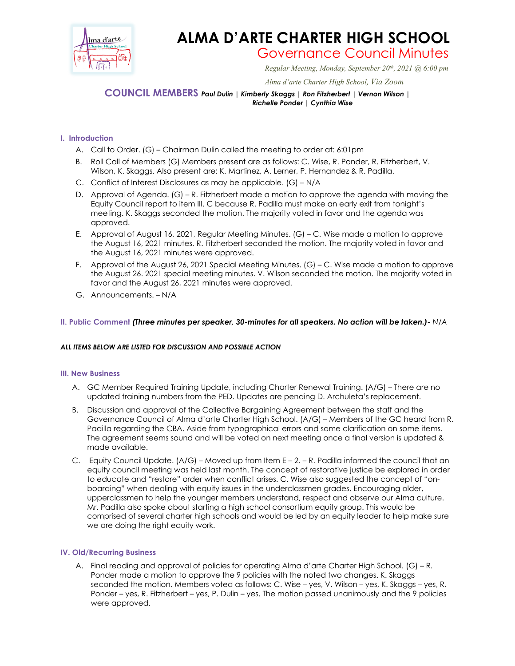

# **ALMA D'ARTE CHARTER HIGH SCHOOL**

Governance Council Minutes *Regular Meeting, Monday, September 20th, 2021 @ 6:00 pm*

 *Alma d'arte Charter High School, Via Zoom*

## **COUNCIL MEMBERS** *Paul Dulin | Kimberly Skaggs | Ron Fitzherbert | Vernon Wilson | Richelle Ponder | Cynthia Wise*

### **I. Introduction**

- A. Call to Order. (G) Chairman Dulin called the meeting to order at: 6:01pm
- B. Roll Call of Members (G) Members present are as follows: C. Wise, R. Ponder, R. Fitzherbert, V. Wilson, K. Skaggs. Also present are: K. Martinez, A. Lerner, P. Hernandez & R. Padilla.
- C. Conflict of Interest Disclosures as may be applicable. (G) N/A
- D. Approval of Agenda. (G) R. Fitzherbert made a motion to approve the agenda with moving the Equity Council report to item III. C because R. Padilla must make an early exit from tonight's meeting. K. Skaggs seconded the motion. The majority voted in favor and the agenda was approved.
- E. Approval of August 16, 2021, Regular Meeting Minutes. (G) C. Wise made a motion to approve the August 16, 2021 minutes. R. Fitzherbert seconded the motion. The majority voted in favor and the August 16, 2021 minutes were approved.
- F. Approval of the August 26, 2021 Special Meeting Minutes. (G) C. Wise made a motion to approve the August 26. 2021 special meeting minutes. V. Wilson seconded the motion. The majority voted in favor and the August 26, 2021 minutes were approved.
- G. Announcements. N/A

#### **II. Public Comment** *(Three minutes per speaker, 30-minutes for all speakers. No action will be taken.)- N/A*

#### *ALL ITEMS BELOW ARE LISTED FOR DISCUSSION AND POSSIBLE ACTION*

#### **III. New Business**

- A. GC Member Required Training Update, including Charter Renewal Training. (A/G) There are no updated training numbers from the PED. Updates are pending D. Archuleta's replacement.
- B. Discussion and approval of the Collective Bargaining Agreement between the staff and the Governance Council of Alma d'arte Charter High School. (A/G) – Members of the GC heard from R. Padilla regarding the CBA. Aside from typographical errors and some clarification on some items. The agreement seems sound and will be voted on next meeting once a final version is updated & made available.
- C. Equity Council Update.  $(A/G)$  Moved up from Item  $E 2 R$ . Padilla informed the council that an equity council meeting was held last month. The concept of restorative justice be explored in order to educate and "restore" order when conflict arises. C. Wise also suggested the concept of "onboarding" when dealing with equity issues in the underclassmen grades. Encouraging older, upperclassmen to help the younger members understand, respect and observe our Alma culture. Mr. Padilla also spoke about starting a high school consortium equity group. This would be comprised of several charter high schools and would be led by an equity leader to help make sure we are doing the right equity work.

#### **IV. Old/Recurring Business**

A. Final reading and approval of policies for operating Alma d'arte Charter High School. (G) – R. Ponder made a motion to approve the 9 policies with the noted two changes. K. Skaggs seconded the motion. Members voted as follows: C. Wise – yes, V. Wilson – yes, K. Skaggs – yes, R. Ponder – yes, R. Fitzherbert – yes, P. Dulin – yes. The motion passed unanimously and the 9 policies were approved.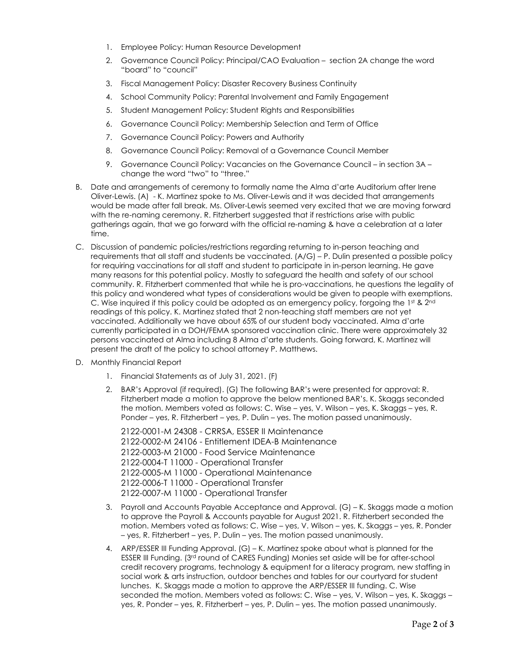- 1. Employee Policy: Human Resource Development
- 2. Governance Council Policy: Principal/CAO Evaluation section 2A change the word "board" to "council"
- 3. Fiscal Management Policy: Disaster Recovery Business Continuity
- 4. School Community Policy: Parental Involvement and Family Engagement
- 5. Student Management Policy: Student Rights and Responsibilities
- 6. Governance Council Policy: Membership Selection and Term of Office
- 7. Governance Council Policy: Powers and Authority
- 8. Governance Council Policy: Removal of a Governance Council Member
- 9. Governance Council Policy: Vacancies on the Governance Council in section 3A change the word "two" to "three."
- B. Date and arrangements of ceremony to formally name the Alma d'arte Auditorium after Irene Oliver-Lewis. (A) - K. Martinez spoke to Ms. Oliver-Lewis and it was decided that arrangements would be made after fall break. Ms. Oliver-Lewis seemed very excited that we are moving forward with the re-naming ceremony. R. Fitzherbert suggested that if restrictions arise with public gatherings again, that we go forward with the official re-naming & have a celebration at a later time.
- C. Discussion of pandemic policies/restrictions regarding returning to in-person teaching and requirements that all staff and students be vaccinated. (A/G) – P. Dulin presented a possible policy for requiring vaccinations for all staff and student to participate in in-person learning. He gave many reasons for this potential policy. Mostly to safeguard the health and safety of our school community. R. Fitzherbert commented that while he is pro-vaccinations, he questions the legality of this policy and wondered what types of considerations would be given to people with exemptions. C. Wise inquired if this policy could be adopted as an emergency policy, forgoing the 1st &  $2<sup>nd</sup>$ readings of this policy. K. Martinez stated that 2 non-teaching staff members are not yet vaccinated. Additionally we have about 65% of our student body vaccinated. Alma d'arte currently participated in a DOH/FEMA sponsored vaccination clinic. There were approximately 32 persons vaccinated at Alma including 8 Alma d'arte students. Going forward, K. Martinez will present the draft of the policy to school attorney P. Matthews.
- D. Monthly Financial Report
	- 1. Financial Statements as of July 31, 2021. (F)
	- 2. BAR's Approval (if required). (G) The following BAR's were presented for approval: R. Fitzherbert made a motion to approve the below mentioned BAR's. K. Skaggs seconded the motion. Members voted as follows: C. Wise – yes, V. Wilson – yes, K. Skaggs – yes, R. Ponder – yes, R. Fitzherbert – yes, P. Dulin – yes. The motion passed unanimously.

2122-0001-M 24308 - CRRSA, ESSER II Maintenance 2122-0002-M 24106 - Entitlement IDEA-B Maintenance 2122-0003-M 21000 - Food Service Maintenance 2122-0004-T 11000 - Operational Transfer 2122-0005-M 11000 - Operational Maintenance 2122-0006-T 11000 - Operational Transfer 2122-0007-M 11000 - Operational Transfer

- 3. Payroll and Accounts Payable Acceptance and Approval. (G) K. Skaggs made a motion to approve the Payroll & Accounts payable for August 2021. R. Fitzherbert seconded the motion. Members voted as follows: C. Wise – yes, V. Wilson – yes, K. Skaggs – yes, R. Ponder – yes, R. Fitzherbert – yes, P. Dulin – yes. The motion passed unanimously.
- 4. ARP/ESSER III Funding Approval. (G) K. Martinez spoke about what is planned for the ESSER III Funding. (3rd round of CARES Funding) Monies set aside will be for after-school credit recovery programs, technology & equipment for a literacy program, new staffing in social work & arts instruction, outdoor benches and tables for our courtyard for student lunches. K. Skaggs made a motion to approve the ARP/ESSER III funding. C. Wise seconded the motion. Members voted as follows: C. Wise – yes, V. Wilson – yes, K. Skaggs – yes, R. Ponder – yes, R. Fitzherbert – yes, P. Dulin – yes. The motion passed unanimously.